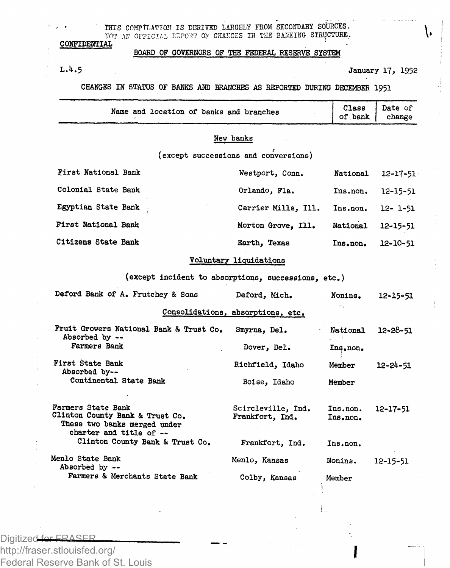THIS COMPTLATION IS DERIVED LARGELY FROM SECONDARY SOURCES NOT AN OFFICIAL EDPORT OF CHANGES IN THE BANKING STRUCTURE.

**BOARD OF GOVERNORS OF THE FEDERAL RESERVE SYSTEM**

**CONFIDENTIAL** 

**L.4.5 January 17, 19.52**

**CHANGES IN STATUS OF BANKS AND BRANCHES AS REPORTED DURING DECEMBER 1951**

| Name and location of banks and branches | Class<br>of bank | Date of<br>change |
|-----------------------------------------|------------------|-------------------|
| <b><i>Brown Armstron</i></b>            |                  |                   |

## **New banks**

**(except successions and conversions)**

| First National Bank | Westport, Conn.     | National | 12-17-51             |
|---------------------|---------------------|----------|----------------------|
| Colonial State Bank | Orlando, Fla.       |          | $Ins. non. 12-15-51$ |
| Egyptian State Bank | Carrier Mills, Ill. | Ins.non. | $12 - 1 - 51$        |
| First National Bank | Morton Grove, Ill.  | National | 12-15-51             |
| Citizens State Bank | Earth, Texas        | Ins.non. | 12-10-51             |

## **Voluntary liquidations**

**(except incident to absorptions, successions, etc.)** 

| Deford Bank of A. Frutchey & Sons                                                                                | Deford, Mich.                         | Nonins.              | 12-15-51       |
|------------------------------------------------------------------------------------------------------------------|---------------------------------------|----------------------|----------------|
|                                                                                                                  | Consolidations, absorptions, etc.     |                      |                |
| Fruit Growers National Bank & Trust Co.<br>Absorbed by --<br>Farmers Bank                                        | Smyrna, Del.<br>Dover, Del.           | Mational<br>Ins.non. | 12-28-51       |
| First State Bank<br>Absorbed by--<br>Continental State Bank                                                      | Richfield, Idaho<br>Boise, Idaho      | Member<br>Member     | $12 - 24 - 51$ |
| Farmers State Bank<br>Clinton County Bank & Trust Co.<br>These two banks merged under<br>charter and title of -- | Scircleville, Ind.<br>Frankfort, Ind. | Ins.non.<br>Ins.non. | 12-17-51       |
| Clinton County Bank & Trust Co.                                                                                  | Frankfort, Ind.                       | Ins.non.             |                |
| Menlo State Bank<br>Absorbed by --                                                                               | Menlo, Kansas                         | Nonins.              | 12-15-51       |
| Farmers & Merchants State Bank                                                                                   | Colby, Kansas                         | Member               |                |

Digitized for FRASER

http://fraser.stlouisfed.org/ Federal Reserve Bank of St. Louis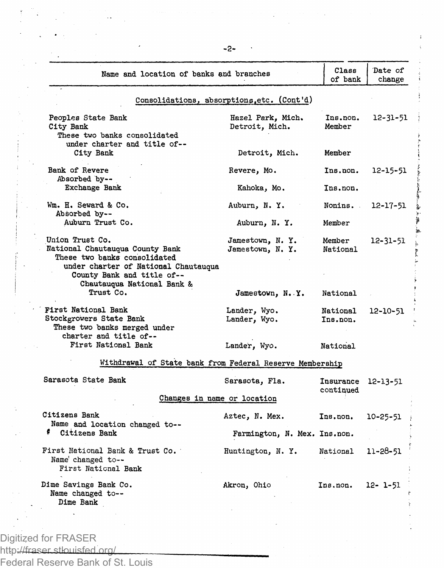| Name and location of banks and branches                                                                       |                                            | Class<br>of bank                | Date of<br>change |
|---------------------------------------------------------------------------------------------------------------|--------------------------------------------|---------------------------------|-------------------|
|                                                                                                               | Consolidations, absorptions, etc. (Cont'd) |                                 |                   |
| Peoples State Bank<br>City Bank                                                                               | Hazel Park, Mich.<br>Detroit, Mich.        | Ins.non.<br>Member              | 12-31-51          |
| These two banks consolidated<br>under charter and title of--<br>City Bank                                     | Detroit, Mich.                             | Member                          |                   |
| Bank of Revere                                                                                                | Revere, Mo.                                | Ins.non.                        | 12-15-51          |
| Absorbed by --<br>Exchange Bank                                                                               | Kahoka, Mo.                                | Ins.non.                        |                   |
| Wm. H. Seward & Co.                                                                                           | Auburn, N.Y.                               | Nonins.                         | 12-17-51          |
| Absorbed by --<br>Auburn Trust Co.                                                                            | Auburn, N.Y.                               | Member                          |                   |
| Union Trust Co.<br>National Chautauqua County Bank<br>These two banks consolidated                            | Jamestown, N.Y.<br>Jamestown, N.Y.         | Member<br>National              | 12-31-51          |
| under charter of National Chautauqua<br>County Bank and title of--<br>Chautauqua National Bank &<br>Trust Co. | Jamestown, N.Y.                            | National                        |                   |
| First National Bank<br>Stockgrowers State Bank<br>These two banks merged under<br>charter and title of--      | Lander, Wyo.<br>Lander, Wyo.               | National<br>Ins.non.            | $12 - 10 - 51$    |
| First National Bank                                                                                           | Lander, Wyo.                               | National                        |                   |
| Withdrawal of State bank from Federal Reserve Membership                                                      |                                            |                                 |                   |
| Sarasota State Bank                                                                                           | Sarasota, Fla.                             | Insurance 12-13-51<br>continued |                   |
| Changes in name or location                                                                                   |                                            |                                 |                   |
| Citizens Bank<br>Name and location changed to --                                                              | Aztec, N. Mex.                             | Ins.non.                        | 10-25-51          |
| Citizens Bank                                                                                                 | Farmington, N. Mex. Ins.non.               |                                 |                   |
| First National Bank & Trust Co.<br>Name' changed to --<br>First National Bank                                 | Huntington, N.Y.                           | National                        | 11-28-51          |
| Dime Savings Bank Co.<br>Name changed to--<br><b>Dime Bank</b>                                                | Akron, Ohio                                | Ins.non.                        | 12- 1-51          |
|                                                                                                               |                                            |                                 |                   |
| Digitized for FRASER                                                                                          |                                            |                                 |                   |

 $-2-$ 

**アンディング あります** 

in Mi

ţ

http://fraser.stlouisfed.org/

Federal Reserve Bank of St. Louis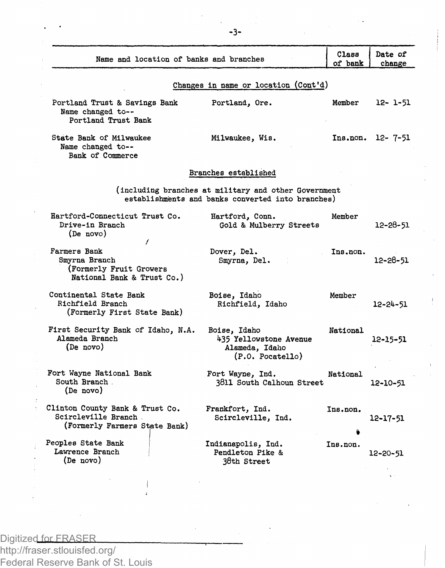|                                                                                          |                                                                                                           | Class    | Date of        |
|------------------------------------------------------------------------------------------|-----------------------------------------------------------------------------------------------------------|----------|----------------|
| Name and location of banks and branches                                                  |                                                                                                           | of bank  | change         |
|                                                                                          | Changes in name or location (Cont'd)                                                                      |          |                |
| Portland Trust & Savings Bank<br>Name changed to--<br>Portland Trust Bank                | Portland, Ore.                                                                                            | Member   | 12- 1-51       |
| State Bank of Milwaukee<br>Name changed to --<br>Bank of Commerce                        | Milwaukee, Wis.                                                                                           | Ins.non. | 12-7-51        |
|                                                                                          | Branches established                                                                                      |          |                |
|                                                                                          | (including branches at military and other Government<br>establishments and banks converted into branches) |          |                |
| Hartford-Connecticut Trust Co.<br>Drive-in Branch<br>(De novo)                           | Hartford, Conn.<br>Gold & Mulberry Streets                                                                | Member   | 12-28-51       |
| Farmers Bank<br>Smyrna Branch<br>(Formerly Fruit Growers<br>National Bank & Trust Co.)   | Dover, Del.<br>Smyrna, Del.                                                                               | Ins.non. | 12-28-51       |
| Continental State Bank<br>Richfield Branch<br>(Formerly First State Bank)                | Boise, Idaho<br>Richfield, Idaho                                                                          | Member   | $12 - 24 - 51$ |
| First Security Bank of Idaho, N.A.<br>Alameda Branch<br>(De novo)                        | Boise, Idaho<br>435 Yellowstone Avenue<br>Alameda, Idaho<br>(P.0. Pocatello)                              | National | 12-15-51       |
| Fort Wayne National Bank<br>South Branch.<br>(De novo)                                   | Fort Wayne, Ind.<br>3811 South Calhoun Street                                                             | National | 12-10-51       |
| Clinton County Bank & Trust Co.<br>Scircleville Branch.<br>(Formerly Farmers State Bank) | Frankfort, Ind.<br>Scircleville, Ind.                                                                     | Ins.non. | $12 - 17 - 51$ |
| Peoples State Bank<br>Lawrence Branch<br>(De novo)                                       | Indianapolis, Ind.<br>Pendleton Pike &<br>38th Street                                                     | Ins.non. | 12-20-51       |

Digitized for FRASER http://fraser.stlouisfed.org/ Federal Reserve Bank of St. Louis

 $\overline{\phantom{a}}$  $\overline{4}$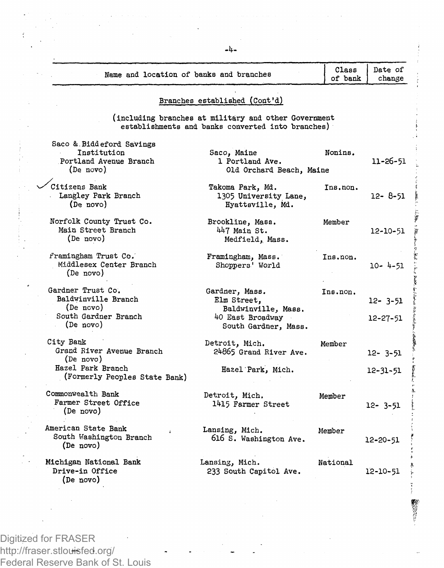| Name and location of banks and branches                                                                   |                                                                                                           | Class<br>of bank | Date of<br>change         |
|-----------------------------------------------------------------------------------------------------------|-----------------------------------------------------------------------------------------------------------|------------------|---------------------------|
|                                                                                                           | Branches established (Cont'd)                                                                             |                  |                           |
|                                                                                                           | (including branches at military and other Government<br>establishments and banks converted into branches) |                  |                           |
| Saco & Biddeford Savings<br>Institution<br>Portland Avenue Branch<br>(De novo)                            | Saco, Maine<br>1 Portland Ave.<br>Old Orchard Beach, Maine                                                | Nonins.          | 11-26-51                  |
| Citizens Bank<br>Langley Park Branch<br>(De novo)                                                         | Takoma Park, Md.<br>1305 University Lane,<br>Hyattsville, Md.                                             | Ins.non.         | $12 - 8 - 51$             |
| Norfolk County Trust Co.<br>Main Street Branch<br>(De novo)                                               | Brookline, Mass.<br>447 Main St.<br>Medfield, Mass.                                                       | Member           | 12-10-51                  |
| Framingham Trust Co.<br>Middlesex Center Branch<br>(De novo)                                              | Framingham, Mass.<br>Shoppers' World                                                                      | Ins.non.         | $10 - 4 - 51$             |
| Gardner Trust Co.<br>Baldwinville Branch<br>(De novo)<br>South Gardner Branch<br>$(De \text{ novo})$      | Gardner, Mass.<br>Elm Street,<br>Baldwinville, Mass.<br>40 East Broadway<br>South Gardner, Mass.          | Ins.non.         | 12- 3-51<br>12-27-51      |
| City Bank<br>Grand River Avenue Branch<br>(De novo)<br>Hazel Park Branch<br>(Formerly Peoples State Bank) | Detroit, Mich.<br>24865 Grand River Ave.<br>Hazel Park, Mich.                                             | Member           | $12 - 3 - 51$<br>12-31-51 |
| Commonwealth Bank<br>Farmer Street Office<br>(De novo)                                                    | Detroit, Mich.<br>1415 Farmer Street                                                                      | Member           | 12- 3-51                  |
| American State Bank<br>South Washington Branch<br>(De novo)                                               | Lansing, Mich.<br>616 S. Washington Ave.                                                                  | Member           | 12-20-51                  |
| Michigan National Bank<br>Drive-in Office<br>(De novo)                                                    | Lansing, Mich.<br>233 South Capitol Ave.                                                                  | National         | 12-10-51                  |

**数据设备:** 

Digitized for FRASER http://fraser.stlou<del>is</del>fed.org/ Federal Reserve Bank of St. Louis **-4-**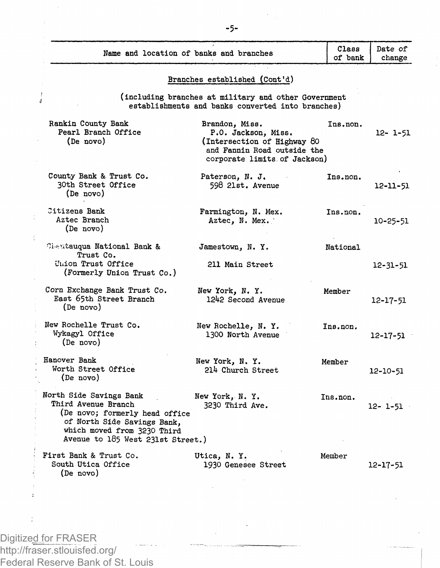| Name and location of banks and branches                                                                                                                                             |                                                                                                                                     | Class<br>of bank | Date of<br>change |
|-------------------------------------------------------------------------------------------------------------------------------------------------------------------------------------|-------------------------------------------------------------------------------------------------------------------------------------|------------------|-------------------|
|                                                                                                                                                                                     | Branches established (Cont'd)                                                                                                       |                  |                   |
| 4                                                                                                                                                                                   | (including branches at military and other Government<br>establishments and banks converted into branches)                           |                  |                   |
| Rankin County Bank<br>Pearl Branch Office<br>(De novo)                                                                                                                              | Brandon, Miss.<br>P.O. Jackson, Miss.<br>(Intersection of Highway 80<br>and Fannin Road outside the<br>corporate limits of Jackson) | Ins.non.         | $12 - 1 - 51$     |
| County Bank & Trust Co.<br>30th Street Office<br>(De novo)                                                                                                                          | Paterson, N. J.<br>598 21st. Avenue                                                                                                 | Ins.non.         | 12-11-51          |
| Citizens Bank<br>Aztec Branch<br>(De novo)                                                                                                                                          | Farmington, N. Mex.<br>Aztec, N. Mex.                                                                                               | Ins.non.         | 10-25-51          |
| Cheutauqua National Bank &<br>Trust Co.                                                                                                                                             | Jamestown, N.Y.                                                                                                                     | National         |                   |
| Union Trust Office<br>(Formerly Union Trust Co.)                                                                                                                                    | 211 Main Street                                                                                                                     |                  | $12 - 31 - 51$    |
| Corn Exchange Bank Trust Co.<br>East 65th Street Branch<br>(De novo)                                                                                                                | New York, N.Y.<br>1242 Second Avenue                                                                                                | Member           | $12 - 17 - 51$    |
| New Rochelle Trust Co.<br>Wykagyl Office<br>(De novo)                                                                                                                               | New Rochelle, N. Y.<br>1300 North Avenue                                                                                            | Ins.non.         | 12-17-51          |
| Hanover Bank<br>Worth Street Office<br>(De novo)                                                                                                                                    | New York, N.Y.<br>214 Church Street                                                                                                 | Member           | 12-10-51          |
| North Side Savings Bank<br>Third Avenue Branch<br>(De novo; formerly head office<br>of North Side Savings Bank,<br>which moved from 3230 Third<br>Avenue to 185 West 231st Street.) | New York, N.Y.<br>3230 Third Ave.                                                                                                   | Ins.non.         | 12- 1-51          |
| First Bank & Trust Co.<br>South Utica Office<br>(De novo)                                                                                                                           | Utica, N.Y.<br>1930 Genesee Street                                                                                                  | Member           | 12-17-51          |

Digitized for FRASER http://fraser.stlouisfed.org/ Federal Reserve Bank of St. Louis

 $\cdot$  $\frac{1}{2}$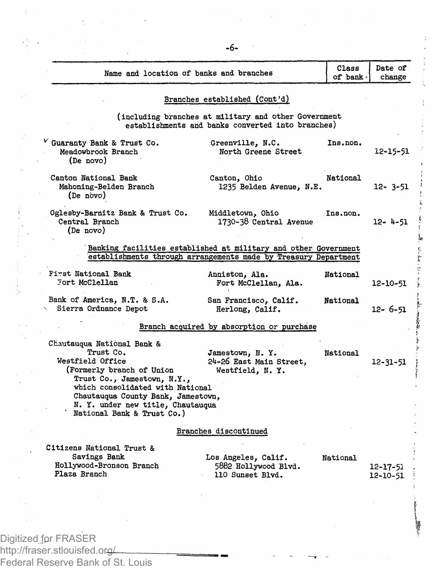| $V$ Guaranty Bank & Trust Co.<br>Meadowbrook Branch<br>(De novo)<br>Canton National Bank<br>Mahoning-Belden Branch<br>(De novo)<br>Central Branch<br>(De novo)<br>First National Bank<br><b>Tort McClellan</b><br>Bank of America, N.T. & S.A.<br>Sierra Ordnance Depot<br>Chautauqua National Bank &<br>Trust Co.<br>Westfield Office | Oglesby-Barnitz Bank & Trust Co.                                                                      | Branches established (Cont'd)<br>(including branches at military and other Government<br>establishments and banks converted into branches)<br>Greenville, N.C.<br>North Greene Street<br>Canton, Ohio<br>1235 Belden Avenue, N.E.<br>Middletown, Ohio<br>1730-38 Central Avenue<br>Banking facilities established at military and other Government<br>establishments through arrangements made by Treasury Department<br>Anniston, Ala.<br>Fort McClellan, Ala.<br>San Francisco, Calif. | Ins.non.<br>National<br>Ins.non.<br>National<br>National | 12-15-51<br>12- 3-51<br>12- 4-51<br>12-10-51 |
|----------------------------------------------------------------------------------------------------------------------------------------------------------------------------------------------------------------------------------------------------------------------------------------------------------------------------------------|-------------------------------------------------------------------------------------------------------|------------------------------------------------------------------------------------------------------------------------------------------------------------------------------------------------------------------------------------------------------------------------------------------------------------------------------------------------------------------------------------------------------------------------------------------------------------------------------------------|----------------------------------------------------------|----------------------------------------------|
|                                                                                                                                                                                                                                                                                                                                        |                                                                                                       |                                                                                                                                                                                                                                                                                                                                                                                                                                                                                          |                                                          |                                              |
|                                                                                                                                                                                                                                                                                                                                        |                                                                                                       |                                                                                                                                                                                                                                                                                                                                                                                                                                                                                          |                                                          |                                              |
|                                                                                                                                                                                                                                                                                                                                        |                                                                                                       |                                                                                                                                                                                                                                                                                                                                                                                                                                                                                          |                                                          |                                              |
|                                                                                                                                                                                                                                                                                                                                        |                                                                                                       |                                                                                                                                                                                                                                                                                                                                                                                                                                                                                          |                                                          |                                              |
|                                                                                                                                                                                                                                                                                                                                        |                                                                                                       |                                                                                                                                                                                                                                                                                                                                                                                                                                                                                          |                                                          |                                              |
|                                                                                                                                                                                                                                                                                                                                        |                                                                                                       |                                                                                                                                                                                                                                                                                                                                                                                                                                                                                          |                                                          |                                              |
|                                                                                                                                                                                                                                                                                                                                        |                                                                                                       |                                                                                                                                                                                                                                                                                                                                                                                                                                                                                          |                                                          |                                              |
|                                                                                                                                                                                                                                                                                                                                        |                                                                                                       | Herlong, Calif.                                                                                                                                                                                                                                                                                                                                                                                                                                                                          |                                                          | 12- 6-51                                     |
|                                                                                                                                                                                                                                                                                                                                        |                                                                                                       | Branch acquired by absorption or purchase                                                                                                                                                                                                                                                                                                                                                                                                                                                |                                                          |                                              |
|                                                                                                                                                                                                                                                                                                                                        | (Formerly branch of Union<br>Trust Co., Jamestown, N.Y.,<br>which consolidated with National          | Jamestown, N.Y.<br>24-26 East Main Street,<br>Westfield, N.Y.                                                                                                                                                                                                                                                                                                                                                                                                                            | National                                                 | $12 - 31 - 51$                               |
|                                                                                                                                                                                                                                                                                                                                        | Chautauqua County Bank, Jamestown,<br>N. Y. under new title, Chautauqua<br>National Bank & Trust Co.) |                                                                                                                                                                                                                                                                                                                                                                                                                                                                                          |                                                          |                                              |
|                                                                                                                                                                                                                                                                                                                                        |                                                                                                       | Branches discontinued                                                                                                                                                                                                                                                                                                                                                                                                                                                                    |                                                          |                                              |
| Citizens National Trust &<br>Savings Bank<br>Hollywood-Bronson Branch<br>Plaza Branch                                                                                                                                                                                                                                                  |                                                                                                       | Los Angeles, Calif.<br>5882 Hollywood Blvd.<br>110 Sunset Blvd.                                                                                                                                                                                                                                                                                                                                                                                                                          | National                                                 | $12 - 17 - 51$<br>12-10-51                   |
|                                                                                                                                                                                                                                                                                                                                        |                                                                                                       |                                                                                                                                                                                                                                                                                                                                                                                                                                                                                          |                                                          |                                              |
|                                                                                                                                                                                                                                                                                                                                        |                                                                                                       |                                                                                                                                                                                                                                                                                                                                                                                                                                                                                          |                                                          |                                              |

**-6-**

http://fraser.stlouisfed.or<del>g/</del>

Federal Reserve Bank of St. Louis

 $\mathcal{I}_\mu$ 

45.